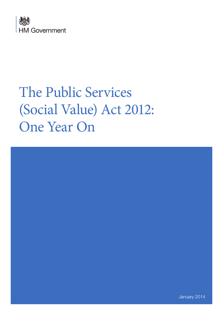

# The Public Services (Social Value) Act 2012: One Year On



January 2014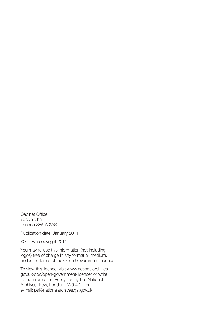Cabinet Office 70 Whitehall London SW1A 2AS

Publication date: January 2014

© Crown copyright 2014

You may re-use this information (not including logos) free of charge in any format or medium, under the terms of the Open Government Licence.

[To view this licence, visit www.nationalarchives.](http://www.nationalarchives.gov.uk/doc/open-government-licence/) gov.uk/doc/open-government-licence/ or write to the Information Policy Team, The National Archives, Kew, London TW9 4DU, or e-mail: [psi@nationalarchives.gsi.gov.uk.](mailto:psi@nationalarchives.gsi.gov.uk)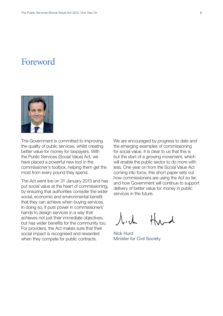# Foreword



The Government is committed to improving the quality of public services, whilst creating better value for money for taxpayers. With the Public Services (Social Value) Act, we have placed a powerful new tool in the commissioner's toolbox, helping them get the most from every pound they spend.

The Act went live on 31 January 2013 and has put social value at the heart of commissioning, by ensuring that authorities consider the wider social, economic and environmental benefit that they can achieve when buying services. In doing so, it puts power in commissioners' hands to design services in a way that achieves not just their immediate objectives, but has wider benefits for the community too. For providers, the Act makes sure that their social impact is recognised and rewarded when they compete for public contracts.

We are encouraged by progress to date and the emerging examples of commissioning for social value. It is clear to us that this is but the start of a growing movement, which will enable the public sector to do more with less. One year on from the Social Value Act coming into force, this short paper sets out how commissioners are using the Act so far, and how Government will continue to support delivery of better value for money in public services in the future.

 $\Lambda$ . ch

Nick Hurd Minister for Civil Society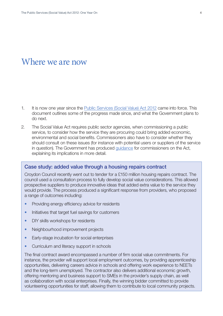# Where we are now

- 1. It is now one year since the [Public Services \(Social Value\) Act 2012](http://www.legislation.gov.uk/ukpga/2012/3/enacted) came into force. This document outlines some of the progress made since, and what the Government plans to do next.
- 2. The Social Value Act requires public sector agencies, when commissioning a public service, to consider how the service they are procuring could bring added economic, environmental and social benefits. Commissioners also have to consider whether they should consult on these issues (for instance with potential users or suppliers of the service in question). The Government has produced [guidance](https://www.gov.uk/government/publications/procurement-policy-note-10-12-the-public-services-social-value-act-2012) for commissioners on the Act, explaining its implications in more detail.

### Case study: added value through a housing repairs contract

Croydon Council recently went out to tender for a £150 million housing repairs contract. The council used a consultation process to fully develop social value considerations. This allowed prospective suppliers to produce innovative ideas that added extra value to the service they would provide. The process produced a significant response from providers, who proposed a range of outcomes including:

- Providing energy efficiency advice for residents
- Initiatives that target fuel savings for customers
- DIY skills workshops for residents
- Neighbourhood improvement projects
- Early-stage incubation for social enterprises
- Curriculum and literacy support in schools

The final contract award encompassed a number of firm social value commitments. For instance, the provider will support local employment outcomes, by providing apprenticeship opportunities, delivering careers advice in schools and offering work experience to NEETs and the long-term unemployed. The contractor also delivers additional economic growth, offering mentoring and business support to SMEs in the provider's supply chain, as well as collaboration with social enterprises. Finally, the winning bidder committed to provide volunteering opportunities for staff, allowing them to contribute to local community projects.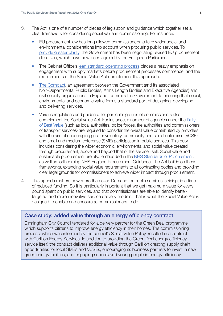- 3. The Act is one of a number of pieces of legislation and guidance which together set a clear framework for considering social value in commissioning. For instance:
	- EU procurement law has long allowed commissioners to take wider social and environmental considerations into account when procuring public services. To [provide greater clarity,](https://www.gov.uk/government/uploads/system/uploads/attachment_data/file/225398/PPN_-_outcome_of_negotiations.pdf) the Government has been negotiating revised EU procurement directives, which have now been agreed by the European Parliament.
	- The Cabinet Office's [lean standard operating process](http://ccs.cabinetoffice.gov.uk/about-government-procurement-service/lean-capability/lean-sourcing/lean-sourcing-standard-solution) places a heavy emphasis on engagement with supply markets before procurement processes commence, and the requirements of the Social Value Act complement this approach.
	- [The Compact,](https://www.gov.uk/government/uploads/system/uploads/attachment_data/file/61169/The_20Compact.pdf) an agreement between the Government (and its associated Non-Departmental Public Bodies, Arms Length Bodies and Executive Agencies) and civil society organisations in England, commits the Government to ensuring that social, environmental and economic value forms a standard part of designing, developing and delivering services.
	- Various regulations and guidance for particular groups of commissioners also complement the Social Value Act. For instance, a number of agencies under the [Duty](https://www.gov.uk/government/uploads/system/uploads/attachment_data/file/5945/1976926.pdf)  [of Best Value](https://www.gov.uk/government/uploads/system/uploads/attachment_data/file/5945/1976926.pdf) (such as local authorities, police forces, fire authorities and commissioners of transport services) are required to consider the overall value contributed by providers, with the aim of encouraging greater voluntary, community and social enterprise (VCSE) and small and medium enterprise (SME) participation in public services. This duty includes considering the wider economic, environmental and social value created through procurement, above and beyond that of the service itself. Social value and sustainable procurement are also embedded in the [NHS Standards of Procurement](https://www.gov.uk/government/uploads/system/uploads/attachment_data/file/210335/nhs_standards_procurement_2nd_ed.pdf), as well as forthcoming NHS England Procurement Guidance. The Act builds on these frameworks, extending social value requirements to all contracting bodies and providing clear legal grounds for commissioners to achieve wider impact through procurement.
- 4. This agenda matters now more than ever. Demand for public services is rising, in a time of reduced funding. So it is particularly important that we get maximum value for every pound spent on public services, and that commissioners are able to identify bettertargeted and more innovative service delivery models. That is what the Social Value Act is designed to enable and encourage commissioners to do.

## Case study: added value through an energy efficiency contract

Birmingham City Council tendered for a delivery partner for the Green Deal programme, which supports citizens to improve energy efficiency in their homes. The commissioning process, which was informed by the council's Social Value Policy, resulted in a contract with Carillion Energy Services. In addition to providing the Green Deal energy efficiency service itself, the contract delivers additional value through Carillion creating supply chain opportunities for local SMEs and VCSEs, encouraging its business partners to invest in new green energy facilities, and engaging schools and young people in energy efficiency.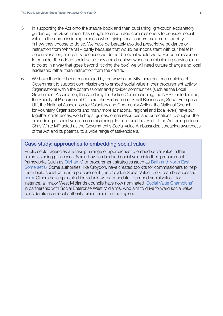- 5. In supporting the Act onto the statute book and then publishing light-touch explanatory guidance, the Government has sought to encourage commissioners to consider social value in the commissioning process whilst giving local leaders maximum flexibility in how they choose to do so. We have deliberately avoided prescriptive guidance or instruction from Whitehall – partly because that would be inconsistent with our belief in decentralisation, and partly because we do not believe it would work. For commissioners to consider the added social value they could achieve when commissioning services, and to do so in a way that goes beyond 'ticking the box', we will need culture change and local leadership rather than instruction from the centre.
- 6. We have therefore been encouraged by the wave of activity there has been outside of Government to support commissioners to embed social value in their procurement activity. Organisations within the commissioner and provider communities (such as the Local Government Association, the Academy for Justice Commissioning, the NHS Confederation, the Society of Procurement Officers, the Federation of Small Businesses, Social Enterprise UK, the National Association for Voluntary and Community Action, the National Council for Voluntary Organisations and many more at national, regional and local levels) have put together conferences, workshops, guides, online resources and publications to support the embedding of social value in commissioning. In the crucial first year of the Act being in force, Chris White MP acted as the Government's Social Value Ambassador, spreading awareness of the Act and its potential to a wide range of stakeholders.

#### Case study: approaches to embedding social value

Public sector agencies are taking a range of approaches to embed social value in their commissioning processes. Some have embedded social value into their procurement frameworks (such as [Oldham's\)](https://www.google.co.uk/url?sa=t&rct=j&q=&esrc=s&source=web&cd=3&cad=rja&ved=0CDsQFjAC&url=http%3A%2F%2Fwww.navca.org.uk%2Fdownloads%2Fgenerate%2F3573&ei=HIfKUuqDI8SrhAeeh4G4CQ&usg=AFQjCNGa0GswASyQLVz4g54jsUkEmFhmqg&bvm=bv.58187178,d.ZG4) or procurement strategies (such as [Bath and North East](http://democracy.bathnes.gov.uk/mgConvert2PDF.aspx?ID=25096)  [Somerset's\)](http://democracy.bathnes.gov.uk/mgConvert2PDF.aspx?ID=25096). Some authorities, like Croydon, have created toolkits for commissioners to help them build social value into procurement (the Croydon Social Value Toolkit can be accessed [here](http://www.croydon.gov.uk/contents/departments/business/pdf/socialvalue.pdf)). Others have appointed individuals with a mandate to embed social value – for instance, all major West Midlands councils have now nominated ['Social Value Champions'](http://www.socialenterprisewm.org.uk/wp-content/files_mf/socialvalueezine4winter2013final.pdf), in partnership with Social Enterprise West Midlands, who aim to drive forward social value considerations in local authority procurement in the region.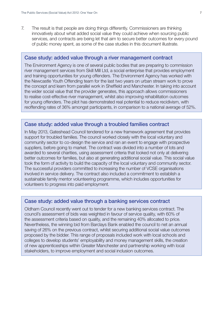7. The result is that people are doing things differently. Commissioners are thinking innovatively about what added social value they could achieve when sourcing public services, and contracts are being let that aim to secure better outcomes for every pound of public money spent, as some of the case studies in this document illustrate.

#### Case study: added value through a river management contract

The Environment Agency is one of several public bodies that are preparing to commission river management services from Skill Mill Ltd, a social enterprise that provides employment and training opportunities for young offenders. The Environment Agency has worked with the Newcastle Youth Offending team for the last two years on urban stream work to prove the concept and learn from parallel work in Sheffield and Manchester. In taking into account the wider social value that the provider generates, this approach allows commissioners to realise cost-effective river management, whilst also improving rehabilitation outcomes for young offenders. The pilot has demonstrated real potential to reduce recidivism, with reoffending rates of 36% amongst participants, in comparison to a national average of 52%.

### Case study: added value through a troubled families contract

In May 2013, Gateshead Council tendered for a new framework agreement that provides support for troubled families. The council worked closely with the local voluntary and community sector to co-design the service and ran an event to engage with prospective suppliers, before going to market. The contract was divided into a number of lots and awarded to several charities, using assessment criteria that looked not only at delivering better outcomes for families, but also at generating additional social value. This social value took the form of activity to build the capacity of the local voluntary and community sector. The successful providers committed to increasing the number of VCSE organisations involved in service delivery. The contract also included a commitment to establish a sustainable family mentor volunteering programme, which includes opportunities for volunteers to progress into paid employment.

#### Case study: added value through a banking services contract

Oldham Council recently went out to tender for a new banking services contract. The council's assessment of bids was weighted in favour of service quality, with 60% of the assessment criteria based on quality, and the remaining 40% allocated to price. Nevertheless, the winning bid from Barclays Bank enabled the council to net an annual saving of 26% on the previous contract, whilst securing additional social value outcomes proposed by the bidder. This range of proposals included work with local schools and colleges to develop students' employability and money management skills, the creation of new apprenticeships within Greater Manchester and partnership working with local stakeholders, to improve employment and social inclusion outcomes.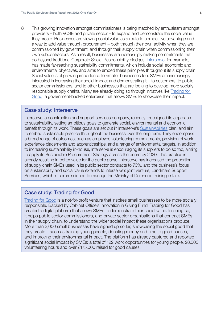8. This growing innovation amongst commissioners is being matched by enthusiasm amongst providers – both VCSE and private sector – to expand and demonstrate the social value they create. Businesses are viewing social value as a route to competitive advantage and a way to add value through procurement – both through their own activity when they are commissioned by government, and through their supply chain when commissioning their own subcontractors. As a result, businesses are increasingly making commitments that go beyond traditional Corporate Social Responsibility pledges. [Interserve](http://sustainabilities.interserve.com/), for example, has made far-reaching sustainability commitments, which include social, economic and environmental objectives, and aims to embed these principles throughout its supply chain. Social value is of growing importance to smaller businesses too. SMEs are increasingly interested in increasing their social impact and demonstrating it – to customers, to public sector commissioners, and to other businesses that are looking to develop more socially responsible supply chains. Many are already doing so through initiatives like [Trading for](http://www.tradingforgood.co.uk/)  [Good,](http://www.tradingforgood.co.uk/) a government-backed enterprise that allows SMEs to showcase their impact.

#### Case study: Interserve

Interserve, a construction and support services company, recently redesigned its approach to sustainability, setting ambitious goals to generate social, environmental and economic benefit through its work. These goals are set out in Interserve's [SustainAbilities](http://sustainabilities.interserve.com/wordpress/wp-content/uploads/2013/03/interserve-sustainabilities-brochure.pdf) plan, and aim to embed sustainable practice throughout the business over the long term. They encompass a broad range of outcomes, such as employee volunteering commitments, provision of work experience placements and apprenticeships, and a range of environmental targets. In addition to increasing sustainability in-house, Interserve is encouraging its suppliers to do so too, aiming to apply its Sustainable Procurement Strategy across the board by 2020. This practice is already resulting in better value for the public purse. Interserve has increased the proportion of supply chain SMEs used in its public sector contracts to 70%, and the business's focus on sustainability and social value extends to Interserve's joint venture, Landmarc Support Services, which is commissioned to manage the Ministry of Defence's training estate.

#### Case study: Trading for Good

[Trading for Good](http://www.tradingforgood.co.uk/) is a not-for-profit venture that inspires small businesses to be more socially responsible. Backed by Cabinet Office's Innovation in Giving Fund, Trading for Good has created a digital platform that allows SMEs to demonstrate their social value. In doing so, it helps public sector commissioners, and private sector organisations that contract SMEs in their supply chain, to understand the wider social impact these organisations produce. More than 3,000 small businesses have signed up so far, showcasing the social good that they create – such as training young people, donating money and time to good causes, and improving their environmental impact. The platform has already captured and reported significant social impact by SMEs: a total of 122 work opportunities for young people, 28,000 volunteering hours and over £175,000 raised for good causes.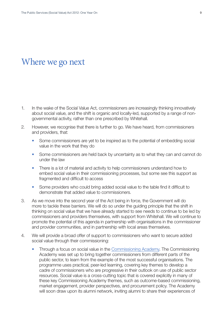## Where we go next

- 1. In the wake of the Social Value Act, commissioners are increasingly thinking innovatively about social value, and the shift is organic and locally-led, supported by a range of nongovernmental activity, rather than one prescribed by Whitehall.
- 2. However, we recognise that there is further to go. We have heard, from commissioners and providers, that:
	- Some commissioners are yet to be inspired as to the potential of embedding social value in the work that they do
	- Some commissioners are held back by uncertainty as to what they can and cannot do under the law
	- There is a lot of material and activity to help commissioners understand how to embed social value in their commissioning processes, but some see this support as fragmented and difficult to access
	- Some providers who could bring added social value to the table find it difficult to demonstrate that added value to commissioners.
- 3. As we move into the second year of the Act being in force, the Government will do more to tackle these barriers. We will do so under the guiding principle that the shift in thinking on social value that we have already started to see needs to continue to be led by commissioners and providers themselves, with support from Whitehall. We will continue to promote the potential of this agenda in partnership with organisations in the commissioner and provider communities, and in partnership with local areas themselves.
- 4. We will provide a broad offer of support to commissioners who want to secure added social value through their commissioning:
	- Through a focus on social value in the [Commissioning Academy](https://www.gov.uk/the-commissioning-academy-information). The Commissioning Academy was set up to bring together commissioners from different parts of the public sector, to learn from the example of the most successful organisations. The programme uses practical, peer-led learning, covering key themes to develop a cadre of commissioners who are progressive in their outlook on use of public sector resources. Social value is a cross-cutting topic that is covered explicitly in many of these key Commissioning Academy themes, such as outcome-based commissioning, market engagement, provider perspectives, and procurement policy. The Academy will soon draw upon its alumni network, inviting alumni to share their experiences of